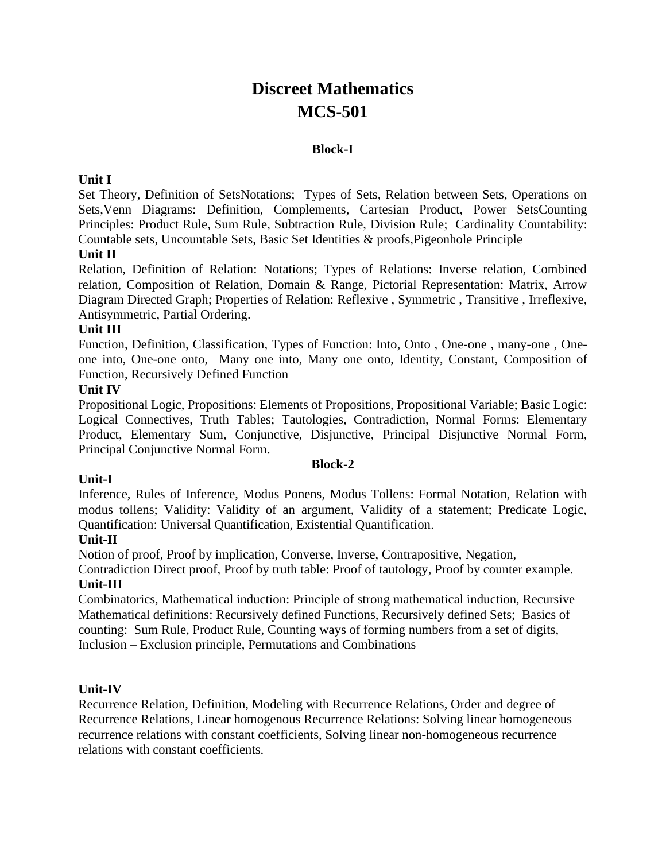# **Discreet Mathematics MCS-501**

#### **Block-I**

#### **Unit I**

Set Theory, Definition of SetsNotations; Types of Sets, Relation between Sets, Operations on Sets,Venn Diagrams: Definition, Complements, Cartesian Product, Power SetsCounting Principles: Product Rule, Sum Rule, Subtraction Rule, Division Rule; Cardinality Countability: Countable sets, Uncountable Sets, Basic Set Identities & proofs,Pigeonhole Principle

### **Unit II**

Relation, Definition of Relation: Notations; Types of Relations: Inverse relation, Combined relation, Composition of Relation, Domain & Range, Pictorial Representation: Matrix, Arrow Diagram Directed Graph; Properties of Relation: Reflexive , Symmetric , Transitive , Irreflexive, Antisymmetric, Partial Ordering.

#### **Unit III**

Function, Definition, Classification, Types of Function: Into, Onto , One-one , many-one , Oneone into, One-one onto, Many one into, Many one onto, Identity, Constant, Composition of Function, Recursively Defined Function

#### **Unit IV**

Propositional Logic, Propositions: Elements of Propositions, Propositional Variable; Basic Logic: Logical Connectives, Truth Tables; Tautologies, Contradiction, Normal Forms: Elementary Product, Elementary Sum, Conjunctive, Disjunctive, Principal Disjunctive Normal Form, Principal Conjunctive Normal Form.

#### **Block-2**

#### **Unit-I**

Inference, Rules of Inference, Modus Ponens, Modus Tollens: Formal Notation, Relation with modus tollens; Validity: Validity of an argument, Validity of a statement; Predicate Logic, Quantification: Universal Quantification, Existential Quantification.

#### **Unit-II**

Notion of proof, Proof by implication, Converse, Inverse, Contrapositive, Negation,

Contradiction Direct proof, Proof by truth table: Proof of tautology, Proof by counter example. **Unit-III**

Combinatorics, Mathematical induction: Principle of strong mathematical induction, Recursive Mathematical definitions: Recursively defined Functions, Recursively defined Sets; Basics of counting: Sum Rule, Product Rule, Counting ways of forming numbers from a set of digits, Inclusion – Exclusion principle, Permutations and Combinations

#### **Unit-IV**

Recurrence Relation, Definition, Modeling with Recurrence Relations, Order and degree of Recurrence Relations, Linear homogenous Recurrence Relations: Solving linear homogeneous recurrence relations with constant coefficients, Solving linear non-homogeneous recurrence relations with constant coefficients.